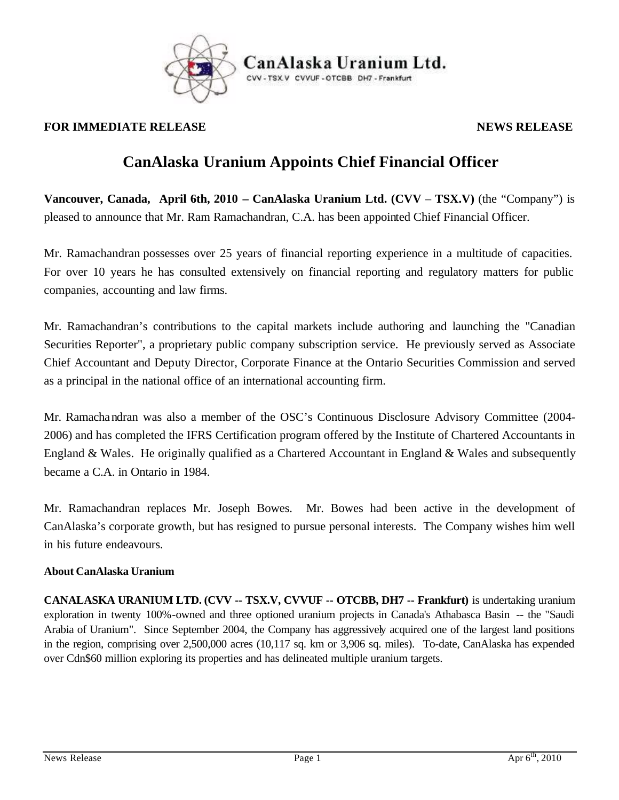

## **FOR IMMEDIATE RELEASE** *NEWS RELEASE*

## **CanAlaska Uranium Appoints Chief Financial Officer**

**Vancouver, Canada, April 6th, 2010 – CanAlaska Uranium Ltd. (CVV** – **TSX.V)** (the "Company") is pleased to announce that Mr. Ram Ramachandran, C.A. has been appointed Chief Financial Officer.

Mr. Ramachandran possesses over 25 years of financial reporting experience in a multitude of capacities. For over 10 years he has consulted extensively on financial reporting and regulatory matters for public companies, accounting and law firms.

Mr. Ramachandran's contributions to the capital markets include authoring and launching the "Canadian Securities Reporter", a proprietary public company subscription service. He previously served as Associate Chief Accountant and Deputy Director, Corporate Finance at the Ontario Securities Commission and served as a principal in the national office of an international accounting firm.

Mr. Ramachandran was also a member of the OSC's Continuous Disclosure Advisory Committee (2004- 2006) and has completed the IFRS Certification program offered by the Institute of Chartered Accountants in England & Wales. He originally qualified as a Chartered Accountant in England & Wales and subsequently became a C.A. in Ontario in 1984.

Mr. Ramachandran replaces Mr. Joseph Bowes. Mr. Bowes had been active in the development of CanAlaska's corporate growth, but has resigned to pursue personal interests. The Company wishes him well in his future endeavours.

## **About CanAlaska Uranium**

**CANALASKA URANIUM LTD. (CVV -- TSX.V, CVVUF -- OTCBB, DH7 -- Frankfurt)** is undertaking uranium exploration in twenty 100%-owned and three optioned uranium projects in Canada's Athabasca Basin -- the "Saudi Arabia of Uranium". Since September 2004, the Company has aggressively acquired one of the largest land positions in the region, comprising over 2,500,000 acres (10,117 sq. km or 3,906 sq. miles). To-date, CanAlaska has expended over Cdn\$60 million exploring its properties and has delineated multiple uranium targets.